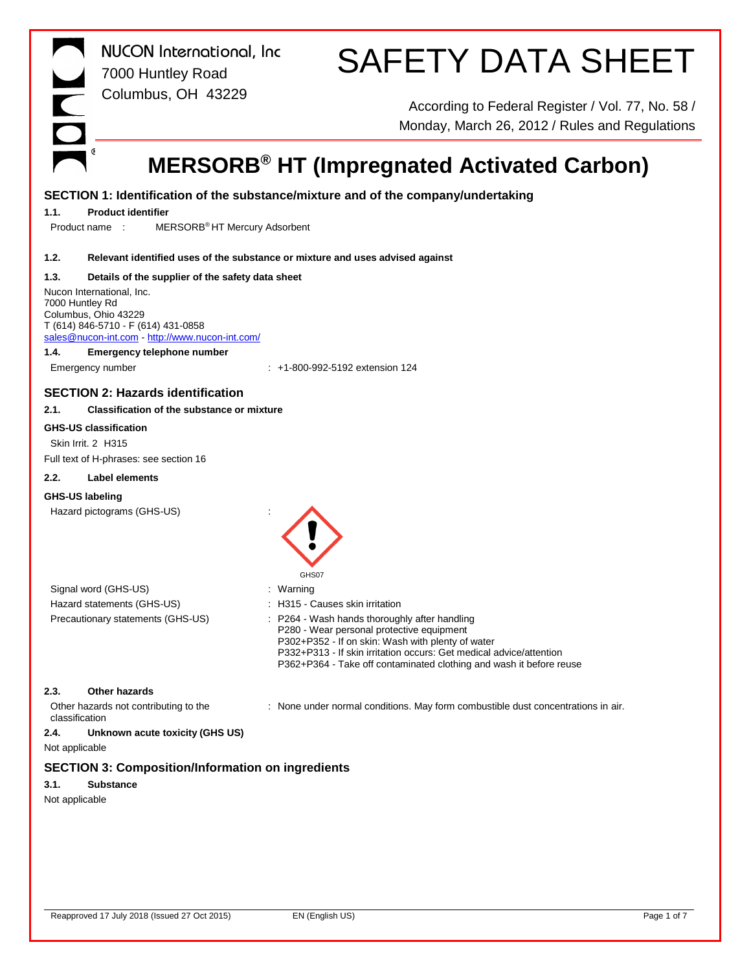|                        | <b>NUCON</b> International, Inc<br>7000 Huntley Road        | <b>SAFETY DATA SHEET</b>                                                                            |
|------------------------|-------------------------------------------------------------|-----------------------------------------------------------------------------------------------------|
|                        | Columbus, OH 43229                                          |                                                                                                     |
|                        |                                                             | According to Federal Register / Vol. 77, No. 58 /<br>Monday, March 26, 2012 / Rules and Regulations |
|                        |                                                             |                                                                                                     |
|                        |                                                             | <b>MERSORB<sup>®</sup> HT (Impregnated Activated Carbon)</b>                                        |
|                        |                                                             | SECTION 1: Identification of the substance/mixture and of the company/undertaking                   |
| 1.1.                   | <b>Product identifier</b>                                   |                                                                                                     |
| Product name:          | MERSORB <sup>®</sup> HT Mercury Adsorbent                   |                                                                                                     |
|                        |                                                             |                                                                                                     |
| 1.2.                   |                                                             | Relevant identified uses of the substance or mixture and uses advised against                       |
| 1.3.                   | Details of the supplier of the safety data sheet            |                                                                                                     |
|                        | Nucon International, Inc.                                   |                                                                                                     |
| 7000 Huntley Rd        |                                                             |                                                                                                     |
|                        | Columbus, Ohio 43229<br>T (614) 846-5710 - F (614) 431-0858 |                                                                                                     |
|                        | sales@nucon-int.com http://www.nucon-int.com/               |                                                                                                     |
| 1.4.                   | <b>Emergency telephone number</b>                           |                                                                                                     |
|                        | Emergency number                                            | $: +1 - 800 - 992 - 5192$ extension 124                                                             |
|                        | <b>SECTION 2: Hazards identification</b>                    |                                                                                                     |
| 2.1.                   | <b>Classification of the substance or mixture</b>           |                                                                                                     |
|                        |                                                             |                                                                                                     |
|                        | <b>GHS-US classification</b>                                |                                                                                                     |
| Skin Irrit. 2 H315     |                                                             |                                                                                                     |
|                        | Full text of H-phrases: see section 16                      |                                                                                                     |
| 2.2.                   | Label elements                                              |                                                                                                     |
| <b>GHS-US labeling</b> |                                                             |                                                                                                     |
|                        | Hazard pictograms (GHS-US)                                  |                                                                                                     |
|                        |                                                             |                                                                                                     |
|                        |                                                             |                                                                                                     |
|                        | Signal word (GHS-US)                                        | : Warning                                                                                           |
|                        | Hazard statements (GHS-US)                                  | H315 - Causes skin irritation                                                                       |
|                        | Precautionary statements (GHS-US)                           | P264 - Wash hands thoroughly after handling<br>P280 - Wear personal protective equipment            |
|                        |                                                             | P302+P352 - If on skin: Wash with plenty of water                                                   |
|                        |                                                             | P332+P313 - If skin irritation occurs: Get medical advice/attention                                 |
|                        |                                                             | P362+P364 - Take off contaminated clothing and wash it before reuse                                 |
| 2.3.                   | Other hazards                                               |                                                                                                     |
| classification         | Other hazards not contributing to the                       | : None under normal conditions. May form combustible dust concentrations in air.                    |
| 2.4.                   | Unknown acute toxicity (GHS US)                             |                                                                                                     |
| Not applicable         |                                                             |                                                                                                     |
|                        | <b>SECTION 3: Composition/Information on ingredients</b>    |                                                                                                     |
| 3.1.                   | <b>Substance</b>                                            |                                                                                                     |
| Not applicable         |                                                             |                                                                                                     |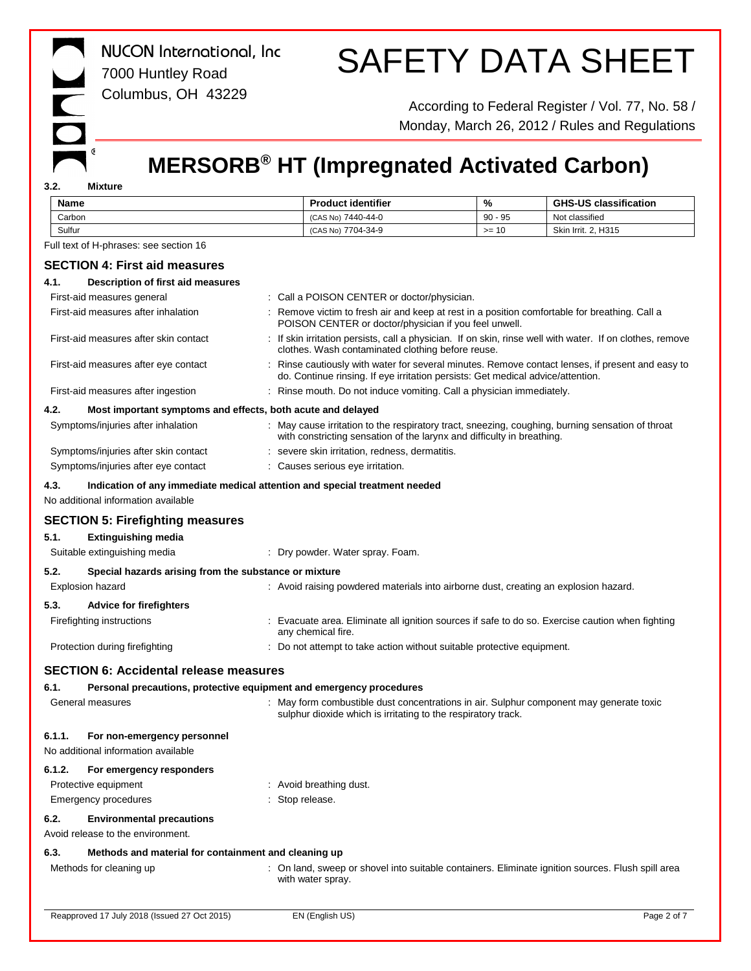|             | <b>NUCON</b> International, Inc<br>7000 Huntley Road<br>Columbus, OH 43229                                        |                                                                                                                                                          |           | <b>SAFETY DATA SHEET</b><br>According to Federal Register / Vol. 77, No. 58 /                             |
|-------------|-------------------------------------------------------------------------------------------------------------------|----------------------------------------------------------------------------------------------------------------------------------------------------------|-----------|-----------------------------------------------------------------------------------------------------------|
|             |                                                                                                                   |                                                                                                                                                          |           | Monday, March 26, 2012 / Rules and Regulations                                                            |
| 3.2.        | G<br>Mixture                                                                                                      | <b>MERSORB<sup>®</sup> HT (Impregnated Activated Carbon)</b>                                                                                             |           |                                                                                                           |
| <b>Name</b> |                                                                                                                   | <b>Product identifier</b>                                                                                                                                | %         | <b>GHS-US classification</b>                                                                              |
| Carbon      |                                                                                                                   | (CAS No) 7440-44-0                                                                                                                                       | $90 - 95$ | Not classified                                                                                            |
| Sulfur      |                                                                                                                   | (CAS No) 7704-34-9                                                                                                                                       | $>= 10$   | Skin Irrit. 2, H315                                                                                       |
|             | Full text of H-phrases: see section 16                                                                            |                                                                                                                                                          |           |                                                                                                           |
|             | <b>SECTION 4: First aid measures</b>                                                                              |                                                                                                                                                          |           |                                                                                                           |
| 4.1.        | Description of first aid measures                                                                                 |                                                                                                                                                          |           |                                                                                                           |
|             | First-aid measures general                                                                                        | : Call a POISON CENTER or doctor/physician.                                                                                                              |           |                                                                                                           |
|             | First-aid measures after inhalation                                                                               | : Remove victim to fresh air and keep at rest in a position comfortable for breathing. Call a<br>POISON CENTER or doctor/physician if you feel unwell.   |           |                                                                                                           |
|             | First-aid measures after skin contact                                                                             | clothes. Wash contaminated clothing before reuse.                                                                                                        |           | : If skin irritation persists, call a physician. If on skin, rinse well with water. If on clothes, remove |
|             | First-aid measures after eye contact                                                                              | do. Continue rinsing. If eye irritation persists: Get medical advice/attention.                                                                          |           | : Rinse cautiously with water for several minutes. Remove contact lenses, if present and easy to          |
|             | First-aid measures after ingestion                                                                                | : Rinse mouth. Do not induce vomiting. Call a physician immediately.                                                                                     |           |                                                                                                           |
| 4.2.        | Most important symptoms and effects, both acute and delayed<br>Symptoms/injuries after inhalation                 |                                                                                                                                                          |           | : May cause irritation to the respiratory tract, sneezing, coughing, burning sensation of throat          |
|             |                                                                                                                   | with constricting sensation of the larynx and difficulty in breathing.                                                                                   |           |                                                                                                           |
|             | Symptoms/injuries after skin contact<br>Symptoms/injuries after eye contact                                       | : severe skin irritation, redness, dermatitis.<br>: Causes serious eye irritation.                                                                       |           |                                                                                                           |
|             |                                                                                                                   |                                                                                                                                                          |           |                                                                                                           |
| 4.3.        | Indication of any immediate medical attention and special treatment needed<br>No additional information available |                                                                                                                                                          |           |                                                                                                           |
|             | <b>SECTION 5: Firefighting measures</b>                                                                           |                                                                                                                                                          |           |                                                                                                           |
| 5.1.        | <b>Extinguishing media</b><br>Suitable extinguishing media                                                        | : Dry powder. Water spray. Foam.                                                                                                                         |           |                                                                                                           |
| 5.2.        | Special hazards arising from the substance or mixture                                                             |                                                                                                                                                          |           |                                                                                                           |
|             | <b>Explosion hazard</b>                                                                                           | : Avoid raising powdered materials into airborne dust, creating an explosion hazard.                                                                     |           |                                                                                                           |
| 5.3.        | <b>Advice for firefighters</b>                                                                                    |                                                                                                                                                          |           |                                                                                                           |
|             | Firefighting instructions                                                                                         | any chemical fire.                                                                                                                                       |           | Evacuate area. Eliminate all ignition sources if safe to do so. Exercise caution when fighting            |
|             | Protection during firefighting                                                                                    | Do not attempt to take action without suitable protective equipment.                                                                                     |           |                                                                                                           |
|             | <b>SECTION 6: Accidental release measures</b>                                                                     |                                                                                                                                                          |           |                                                                                                           |
| 6.1.        | Personal precautions, protective equipment and emergency procedures                                               |                                                                                                                                                          |           |                                                                                                           |
|             | General measures                                                                                                  | : May form combustible dust concentrations in air. Sulphur component may generate toxic<br>sulphur dioxide which is irritating to the respiratory track. |           |                                                                                                           |
| 6.1.1.      | For non-emergency personnel<br>No additional information available                                                |                                                                                                                                                          |           |                                                                                                           |
| 6.1.2.      | For emergency responders                                                                                          |                                                                                                                                                          |           |                                                                                                           |
|             | Protective equipment                                                                                              | : Avoid breathing dust.                                                                                                                                  |           |                                                                                                           |
|             | <b>Emergency procedures</b>                                                                                       | : Stop release.                                                                                                                                          |           |                                                                                                           |
| 6.2.        | <b>Environmental precautions</b><br>Avoid release to the environment.                                             |                                                                                                                                                          |           |                                                                                                           |
| 6.3.        | Methods and material for containment and cleaning up                                                              |                                                                                                                                                          |           |                                                                                                           |
|             | Methods for cleaning up                                                                                           | with water spray.                                                                                                                                        |           | : On land, sweep or shovel into suitable containers. Eliminate ignition sources. Flush spill area         |
|             | Reapproved 17 July 2018 (Issued 27 Oct 2015)                                                                      | EN (English US)                                                                                                                                          |           | Page 2 of 7                                                                                               |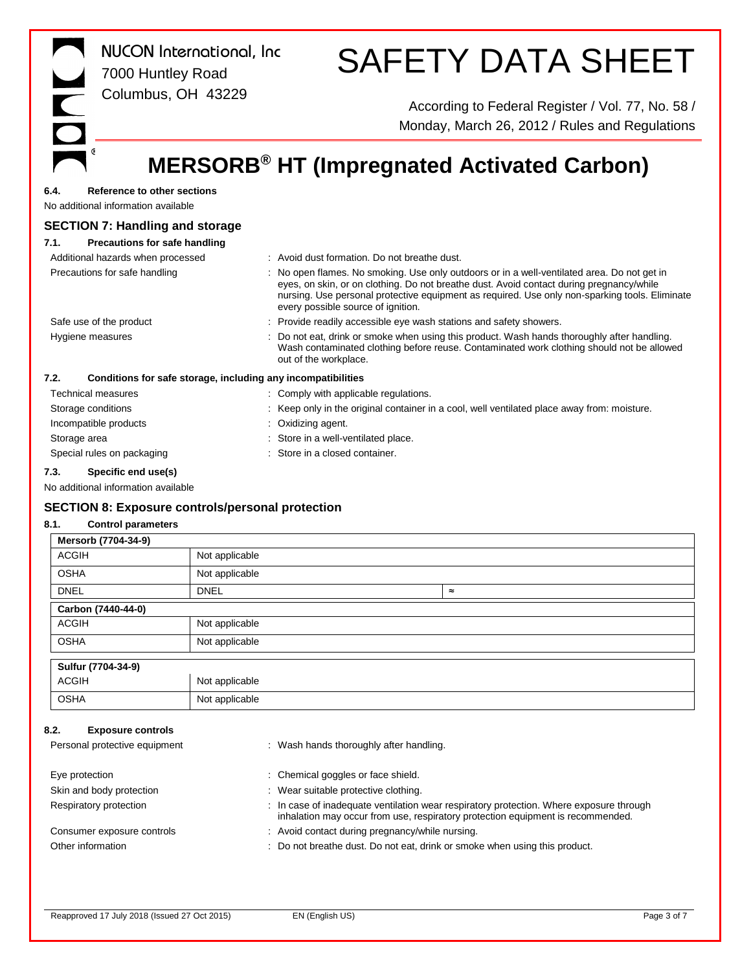| <b>NUCON</b> International, Inc.<br>7000 Huntley Road<br>Columbus, OH 43229       | <b>SAFETY DATA SHEET</b>                                                                                                                                                                                                                                                                                                        |
|-----------------------------------------------------------------------------------|---------------------------------------------------------------------------------------------------------------------------------------------------------------------------------------------------------------------------------------------------------------------------------------------------------------------------------|
|                                                                                   | According to Federal Register / Vol. 77, No. 58 /<br>Monday, March 26, 2012 / Rules and Regulations                                                                                                                                                                                                                             |
|                                                                                   | <b>MERSORB<sup>®</sup> HT (Impregnated Activated Carbon)</b>                                                                                                                                                                                                                                                                    |
| <b>Reference to other sections</b><br>6.4.<br>No additional information available |                                                                                                                                                                                                                                                                                                                                 |
| <b>SECTION 7: Handling and storage</b>                                            |                                                                                                                                                                                                                                                                                                                                 |
| <b>Precautions for safe handling</b><br>7.1.                                      |                                                                                                                                                                                                                                                                                                                                 |
| Additional hazards when processed                                                 | : Avoid dust formation. Do not breathe dust.                                                                                                                                                                                                                                                                                    |
| Precautions for safe handling                                                     | : No open flames. No smoking. Use only outdoors or in a well-ventilated area. Do not get in<br>eyes, on skin, or on clothing. Do not breathe dust. Avoid contact during pregnancy/while<br>nursing. Use personal protective equipment as required. Use only non-sparking tools. Eliminate<br>every possible source of ignition. |
| Safe use of the product                                                           | Provide readily accessible eye wash stations and safety showers.                                                                                                                                                                                                                                                                |
| Hygiene measures                                                                  | Do not eat, drink or smoke when using this product. Wash hands thoroughly after handling.<br>Wash contaminated clothing before reuse. Contaminated work clothing should not be allowed<br>out of the workplace.                                                                                                                 |
| 7.2.<br>Conditions for safe storage, including any incompatibilities              |                                                                                                                                                                                                                                                                                                                                 |
| <b>Technical measures</b>                                                         | : Comply with applicable regulations.                                                                                                                                                                                                                                                                                           |
| Storage conditions                                                                | Keep only in the original container in a cool, well ventilated place away from: moisture.                                                                                                                                                                                                                                       |

Reapproved 17 July 2018 (Issued 27 Oct 2015) EN (English US) Enterprise the contract of Page 3 of 7

Incompatible products : Oxidizing agent.

**SECTION 8: Exposure controls/personal protection**

ACGIH Not applicable OSHA Not applicable

ACGIH Not applicable OSHA Not applicable

ACGIH Not applicable OSHA Not applicable

**7.3. Specific end use(s)** No additional information available

**8.1. Control parameters Mersorb (7704-34-9)**

**Carbon (7440-44-0)**

**Sulfur (7704-34-9)**

**8.2. Exposure controls**

Storage area **in a strong area in a strong area** : Store in a well-ventilated place. Special rules on packaging **interest of the Container** in a closed container.

DNEL DNEL ≈

Personal protective equipment : Wash hands thoroughly after handling.

Consumer exposure controls : Avoid contact during pregnancy/while nursing.

Eye protection  $\qquad \qquad :$  Chemical goggles or face shield. Skin and body protection : Wear suitable protective clothing.

Other information **can be a constructed in the constructed of the constructed in the constructed in the constructed in the constructed in the constructed of Denotic Product.** Do not breathe dust. Do not eat, drink or smoke

Respiratory protection : In case of inadequate ventilation wear respiratory protection. Where exposure through

inhalation may occur from use, respiratory protection equipment is recommended.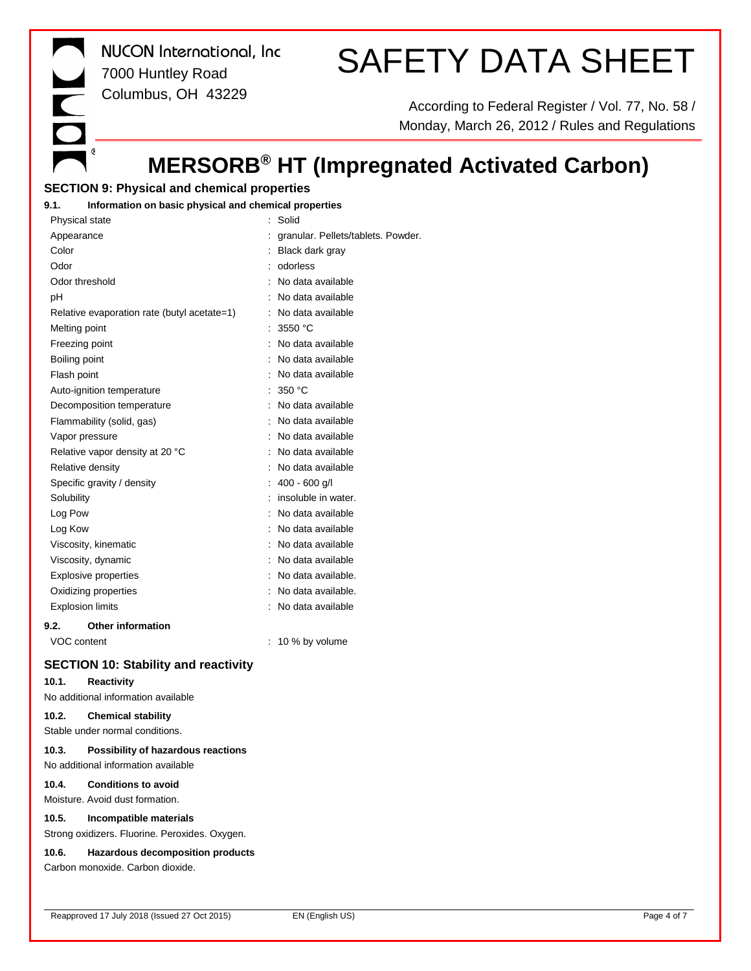*NUCON International, Inc* 7000 Huntley Road Columbus, OH 43229

# SAFETY DATA SHEET

According to Federal Register / Vol. 77, No. 58 / Monday, March 26, 2012 / Rules and Regulations

# **MERSORB® HT (Impregnated Activated Carbon)**

## **SECTION 9: Physical and chemical properties**

 $\mathbb{G}$ 

#### **9.1. Information on basic physical and chemical properties**

| Physical state                              | Solid                              |
|---------------------------------------------|------------------------------------|
| Appearance                                  | granular. Pellets/tablets. Powder. |
| Color                                       | Black dark gray                    |
| Odor                                        | odorless                           |
| Odor threshold                              | No data available                  |
| рH                                          | No data available                  |
| Relative evaporation rate (butyl acetate=1) | No data available                  |
| Melting point                               | 3550 °C                            |
| Freezing point                              | No data available                  |
| Boiling point                               | No data available                  |
| Flash point                                 | No data available                  |
| Auto-ignition temperature                   | 350 °C                             |
| Decomposition temperature                   | No data available                  |
| Flammability (solid, gas)                   | No data available                  |
| Vapor pressure                              | No data available                  |
| Relative vapor density at 20 °C             | No data available                  |
| Relative density                            | No data available                  |
| Specific gravity / density                  | $400 - 600$ g/l                    |
| Solubility                                  | insoluble in water.                |
| Log Pow                                     | No data available                  |
| Log Kow                                     | No data available                  |
| Viscosity, kinematic                        | No data available                  |
| Viscosity, dynamic                          | No data available                  |
| <b>Explosive properties</b>                 | No data available.                 |
| Oxidizing properties                        | No data available.                 |
| <b>Explosion limits</b>                     | No data available                  |
| <b>Other information</b><br>9.2.            |                                    |

VOC content : 10 % by volume

# **SECTION 10: Stability and reactivity**

## **10.1. Reactivity**

No additional information available

## **10.2. Chemical stability**

Stable under normal conditions.

#### **10.3. Possibility of hazardous reactions** No additional information available

**10.4. Conditions to avoid**

### Moisture. Avoid dust formation.

**10.5. Incompatible materials**

Strong oxidizers. Fluorine. Peroxides. Oxygen.

### **10.6. Hazardous decomposition products**

Carbon monoxide. Carbon dioxide.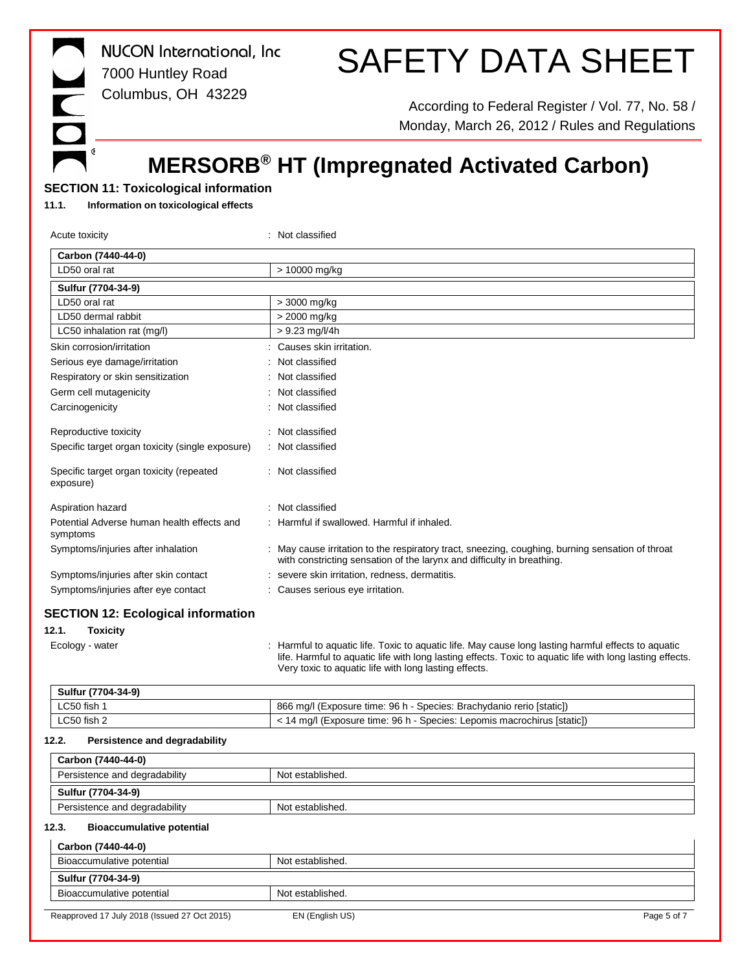*NUCON International, Inc* 7000 Huntley Road Columbus, OH 43229

# SAFETY DATA SHEET

According to Federal Register / Vol. 77, No. 58 / Monday, March 26, 2012 / Rules and Regulations

# **MERSORB® HT (Impregnated Activated Carbon)**

## **SECTION 11: Toxicological information**

#### **11.1. Information on toxicological effects**

 $\mathbb{G}$ 

| Acute toxicity                                                                           | : Not classified                                                                                                                                                                                                                                                          |
|------------------------------------------------------------------------------------------|---------------------------------------------------------------------------------------------------------------------------------------------------------------------------------------------------------------------------------------------------------------------------|
| Carbon (7440-44-0)                                                                       |                                                                                                                                                                                                                                                                           |
| LD50 oral rat                                                                            | > 10000 mg/kg                                                                                                                                                                                                                                                             |
| Sulfur (7704-34-9)                                                                       |                                                                                                                                                                                                                                                                           |
| LD50 oral rat                                                                            | > 3000 mg/kg                                                                                                                                                                                                                                                              |
| LD50 dermal rabbit                                                                       | > 2000 mg/kg                                                                                                                                                                                                                                                              |
| LC50 inhalation rat (mg/l)                                                               | $> 9.23$ mg/l/4h                                                                                                                                                                                                                                                          |
| Skin corrosion/irritation                                                                | : Causes skin irritation.                                                                                                                                                                                                                                                 |
| Serious eye damage/irritation                                                            | Not classified                                                                                                                                                                                                                                                            |
| Respiratory or skin sensitization                                                        | Not classified                                                                                                                                                                                                                                                            |
| Germ cell mutagenicity                                                                   | Not classified                                                                                                                                                                                                                                                            |
| Carcinogenicity                                                                          | Not classified                                                                                                                                                                                                                                                            |
| Reproductive toxicity                                                                    | : Not classified                                                                                                                                                                                                                                                          |
| Specific target organ toxicity (single exposure)                                         | Not classified                                                                                                                                                                                                                                                            |
| Specific target organ toxicity (repeated<br>exposure)                                    | : Not classified                                                                                                                                                                                                                                                          |
| Aspiration hazard                                                                        | : Not classified                                                                                                                                                                                                                                                          |
| Potential Adverse human health effects and<br>symptoms                                   | : Harmful if swallowed. Harmful if inhaled.                                                                                                                                                                                                                               |
| Symptoms/injuries after inhalation                                                       | : May cause irritation to the respiratory tract, sneezing, coughing, burning sensation of throat<br>with constricting sensation of the larynx and difficulty in breathing.                                                                                                |
| Symptoms/injuries after skin contact                                                     | severe skin irritation, redness, dermatitis.                                                                                                                                                                                                                              |
| Symptoms/injuries after eye contact                                                      | : Causes serious eye irritation.                                                                                                                                                                                                                                          |
| <b>SECTION 12: Ecological information</b><br>12.1.<br><b>Toxicity</b><br>Ecology - water | : Harmful to aquatic life. Toxic to aquatic life. May cause long lasting harmful effects to aquatic<br>life. Harmful to aquatic life with long lasting effects. Toxic to aquatic life with long lasting effects.<br>Very toxic to aquatic life with long lasting effects. |
| Sulfur (7704-34-9)                                                                       |                                                                                                                                                                                                                                                                           |
| LC50 fish 1                                                                              | 866 mg/l (Exposure time: 96 h - Species: Brachydanio rerio [static])                                                                                                                                                                                                      |
| LC50 fish 2                                                                              | < 14 mg/l (Exposure time: 96 h - Species: Lepomis macrochirus [static])                                                                                                                                                                                                   |
| Persistence and degradability<br>12.2.                                                   |                                                                                                                                                                                                                                                                           |
| Carbon (7440-44-0)                                                                       |                                                                                                                                                                                                                                                                           |
| Persistence and degradability                                                            | Not established.                                                                                                                                                                                                                                                          |
| Sulfur (7704-34-9)                                                                       |                                                                                                                                                                                                                                                                           |
| Persistence and degradability                                                            | Not established.                                                                                                                                                                                                                                                          |
| 12.3.<br><b>Bioaccumulative potential</b>                                                |                                                                                                                                                                                                                                                                           |
| Carbon (7440-44-0)                                                                       |                                                                                                                                                                                                                                                                           |
| Bioaccumulative potential                                                                | Not established.                                                                                                                                                                                                                                                          |
| Sulfur (7704-34-9)                                                                       |                                                                                                                                                                                                                                                                           |
| Bioaccumulative potential                                                                | Not established.                                                                                                                                                                                                                                                          |
| Reapproved 17 July 2018 (Issued 27 Oct 2015)                                             | EN (English US)<br>Page 5 of 7                                                                                                                                                                                                                                            |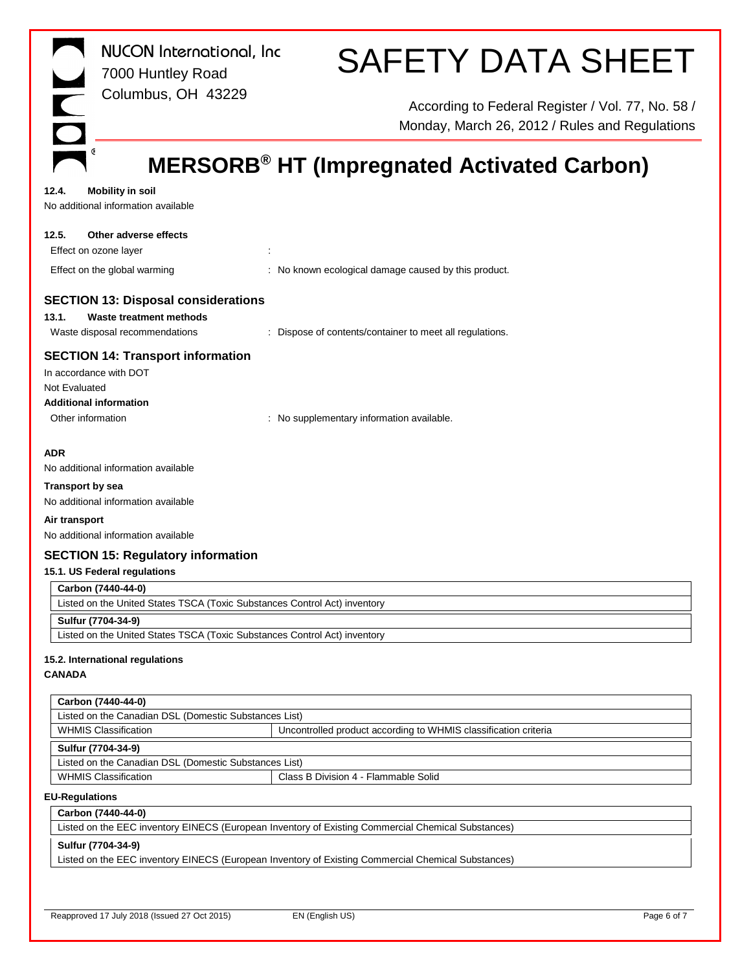| <b>NUCON</b> International, Inc<br>7000 Huntley Road<br>Columbus, OH 43229                                                                | <b>SAFETY DATA SHEET</b><br>According to Federal Register / Vol. 77, No. 58 / |
|-------------------------------------------------------------------------------------------------------------------------------------------|-------------------------------------------------------------------------------|
|                                                                                                                                           | Monday, March 26, 2012 / Rules and Regulations                                |
|                                                                                                                                           | <b>MERSORB<sup>®</sup> HT (Impregnated Activated Carbon)</b>                  |
| 12.4.<br><b>Mobility in soil</b><br>No additional information available                                                                   |                                                                               |
| 12.5.<br>Other adverse effects<br>Effect on ozone layer                                                                                   |                                                                               |
| Effect on the global warming                                                                                                              | : No known ecological damage caused by this product.                          |
| <b>SECTION 13: Disposal considerations</b><br>13.1.<br>Waste treatment methods<br>Waste disposal recommendations                          | : Dispose of contents/container to meet all regulations.                      |
| <b>SECTION 14: Transport information</b><br>In accordance with DOT<br>Not Evaluated<br><b>Additional information</b><br>Other information | : No supplementary information available.                                     |
| <b>ADR</b><br>No additional information available                                                                                         |                                                                               |
| <b>Transport by sea</b><br>No additional information available                                                                            |                                                                               |
| Air transport<br>No additional information available                                                                                      |                                                                               |
| <b>SECTION 15: Regulatory information</b>                                                                                                 |                                                                               |
| 15.1. US Federal regulations                                                                                                              |                                                                               |
| Carbon (7440-44-0)                                                                                                                        |                                                                               |
| Listed on the United States TSCA (Toxic Substances Control Act) inventory                                                                 |                                                                               |
| Sulfur (7704-34-9)                                                                                                                        |                                                                               |
| Listed on the United States TSCA (Toxic Substances Control Act) inventory                                                                 |                                                                               |
| 15.2. International regulations                                                                                                           |                                                                               |

### **CANADA**

| Carbon (7440-44-0)                                    |                                                                 |  |
|-------------------------------------------------------|-----------------------------------------------------------------|--|
| Listed on the Canadian DSL (Domestic Substances List) |                                                                 |  |
| <b>WHMIS Classification</b>                           | Uncontrolled product according to WHMIS classification criteria |  |
| Sulfur (7704-34-9)                                    |                                                                 |  |
| Listed on the Canadian DSL (Domestic Substances List) |                                                                 |  |
| <b>WHMIS Classification</b>                           | Class B Division 4 - Flammable Solid                            |  |

#### **EU-Regulations**

# **Carbon (7440-44-0)** Listed on the EEC inventory EINECS (European Inventory of Existing Commercial Chemical Substances) **Sulfur (7704-34-9)** Listed on the EEC inventory EINECS (European Inventory of Existing Commercial Chemical Substances)